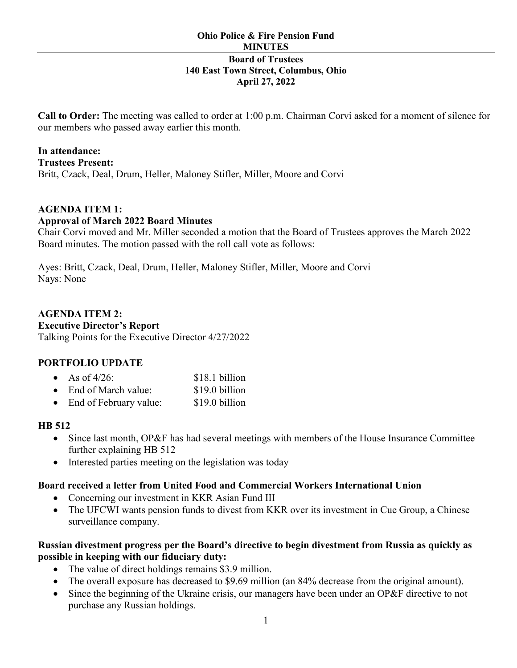#### **Ohio Police & Fire Pension Fund MINUTES Board of Trustees 140 East Town Street, Columbus, Ohio April 27, 2022**

**Call to Order:** The meeting was called to order at 1:00 p.m. Chairman Corvi asked for a moment of silence for our members who passed away earlier this month.

# **In attendance:**

**Trustees Present:**  Britt, Czack, Deal, Drum, Heller, Maloney Stifler, Miller, Moore and Corvi

#### **AGENDA ITEM 1: Approval of March 2022 Board Minutes**

Chair Corvi moved and Mr. Miller seconded a motion that the Board of Trustees approves the March 2022 Board minutes. The motion passed with the roll call vote as follows:

Ayes: Britt, Czack, Deal, Drum, Heller, Maloney Stifler, Miller, Moore and Corvi Nays: None

# **AGENDA ITEM 2:**

#### **Executive Director's Report**

Talking Points for the Executive Director 4/27/2022

# **PORTFOLIO UPDATE**

| • As of $4/26$ :              | \$18.1 billion |
|-------------------------------|----------------|
| $\bullet$ End of March value: | \$19.0 billion |
| • End of February value:      | \$19.0 billion |

# **HB 512**

- Since last month, OP&F has had several meetings with members of the House Insurance Committee further explaining HB 512
- Interested parties meeting on the legislation was today

# **Board received a letter from United Food and Commercial Workers International Union**

- Concerning our investment in KKR Asian Fund III
- The UFCWI wants pension funds to divest from KKR over its investment in Cue Group, a Chinese surveillance company.

# **Russian divestment progress per the Board's directive to begin divestment from Russia as quickly as possible in keeping with our fiduciary duty:**

- The value of direct holdings remains \$3.9 million.
- The overall exposure has decreased to \$9.69 million (an 84% decrease from the original amount).
- Since the beginning of the Ukraine crisis, our managers have been under an OP&F directive to not purchase any Russian holdings.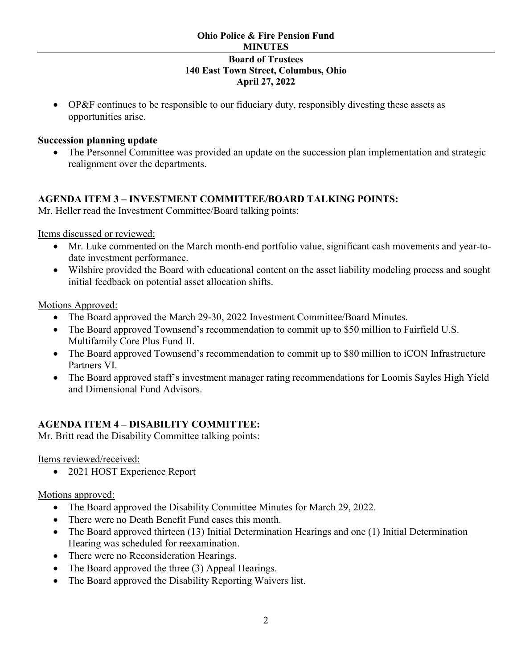• OP&F continues to be responsible to our fiduciary duty, responsibly divesting these assets as opportunities arise.

## **Succession planning update**

The Personnel Committee was provided an update on the succession plan implementation and strategic realignment over the departments.

#### **AGENDA ITEM 3 – INVESTMENT COMMITTEE/BOARD TALKING POINTS:**

Mr. Heller read the Investment Committee/Board talking points:

Items discussed or reviewed:

- Mr. Luke commented on the March month-end portfolio value, significant cash movements and year-todate investment performance.
- Wilshire provided the Board with educational content on the asset liability modeling process and sought initial feedback on potential asset allocation shifts.

Motions Approved:

- The Board approved the March 29-30, 2022 Investment Committee/Board Minutes.
- The Board approved Townsend's recommendation to commit up to \$50 million to Fairfield U.S. Multifamily Core Plus Fund II.
- The Board approved Townsend's recommendation to commit up to \$80 million to iCON Infrastructure Partners VI.
- The Board approved staff's investment manager rating recommendations for Loomis Sayles High Yield and Dimensional Fund Advisors.

# **AGENDA ITEM 4 – DISABILITY COMMITTEE:**

Mr. Britt read the Disability Committee talking points:

Items reviewed/received:

• 2021 HOST Experience Report

#### Motions approved:

- The Board approved the Disability Committee Minutes for March 29, 2022.
- There were no Death Benefit Fund cases this month.
- The Board approved thirteen (13) Initial Determination Hearings and one (1) Initial Determination Hearing was scheduled for reexamination.
- There were no Reconsideration Hearings.
- The Board approved the three (3) Appeal Hearings.
- The Board approved the Disability Reporting Waivers list.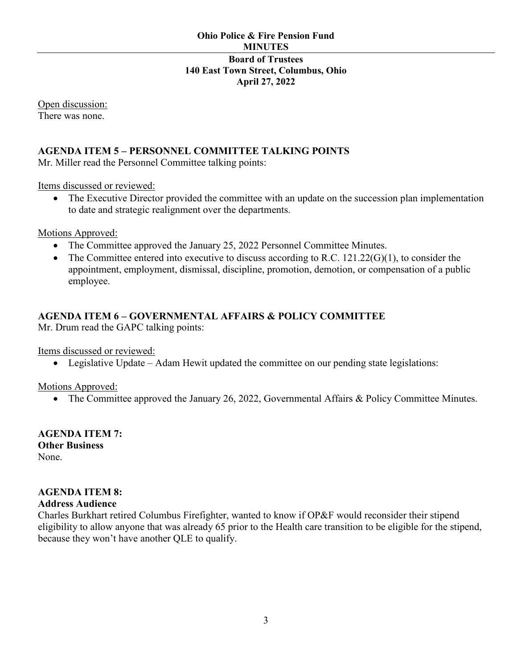Open discussion: There was none.

## **AGENDA ITEM 5 – PERSONNEL COMMITTEE TALKING POINTS**

Mr. Miller read the Personnel Committee talking points:

Items discussed or reviewed:

• The Executive Director provided the committee with an update on the succession plan implementation to date and strategic realignment over the departments.

Motions Approved:

- The Committee approved the January 25, 2022 Personnel Committee Minutes.
- The Committee entered into executive to discuss according to R.C.  $121.22(G)(1)$ , to consider the appointment, employment, dismissal, discipline, promotion, demotion, or compensation of a public employee.

# **AGENDA ITEM 6 – GOVERNMENTAL AFFAIRS & POLICY COMMITTEE**

Mr. Drum read the GAPC talking points:

Items discussed or reviewed:

• Legislative Update – Adam Hewit updated the committee on our pending state legislations:

Motions Approved:

• The Committee approved the January 26, 2022, Governmental Affairs & Policy Committee Minutes.

**AGENDA ITEM 7: Other Business** None.

#### **AGENDA ITEM 8:**

#### **Address Audience**

Charles Burkhart retired Columbus Firefighter, wanted to know if OP&F would reconsider their stipend eligibility to allow anyone that was already 65 prior to the Health care transition to be eligible for the stipend, because they won't have another QLE to qualify.